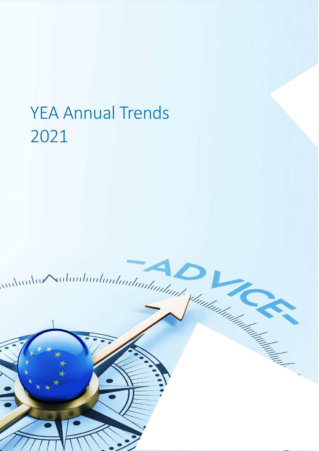# YEA Annual Trends 2021

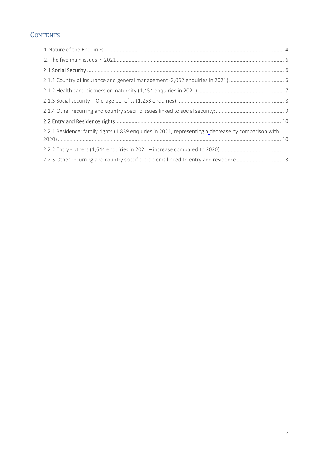# **CONTENTS**

| 2.2.1 Residence: family rights (1,839 enquiries in 2021, representing a decrease by comparison with |
|-----------------------------------------------------------------------------------------------------|
|                                                                                                     |
| 2.2.3 Other recurring and country specific problems linked to entry and residence  13               |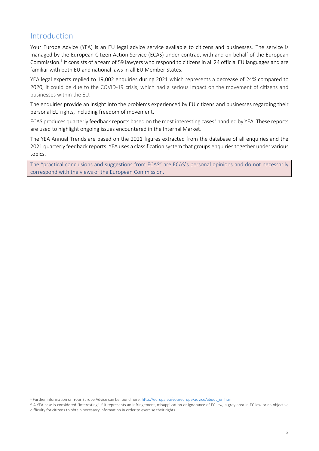## Introduction

Your Europe Advice (YEA) is an EU legal advice service available to citizens and businesses. The service is managed by the European Citizen Action Service (ECAS) under contract with and on behalf of the European Commission.<sup>1</sup> It consists of a team of 59 lawyers who respond to citizens in all 24 official EU languages and are familiar with both EU and national laws in all EU Member States.

YEA legal experts replied to 19,002 enquiries during 2021 which represents a decrease of 24% compared to 2020, it could be due to the COVID-19 crisis, which had a serious impact on the movement of citizens and businesses within the EU.

The enquiries provide an insight into the problems experienced by EU citizens and businesses regarding their personal EU rights, including freedom of movement.

ECAS produces quarterly feedback reports based on the most interesting cases<sup>2</sup> handled by YEA. These reports are used to highlight ongoing issues encountered in the Internal Market.

The YEA Annual Trends are based on the 2021 figures extracted from the database of all enquiries and the 2021 quarterly feedback reports. YEA uses a classification system that groups enquiries together under various topics.

The "practical conclusions and suggestions from ECAS" are ECAS's personal opinions and do not necessarily correspond with the views of the European Commission.

<sup>&</sup>lt;sup>1</sup> Further information on Your Europe Advice can be found here: http://europa.eu/youreurope/advice/about\_en.htm

<sup>&</sup>lt;sup>2</sup> A YEA case is considered "interesting" if it represents an infringement, misapplication or ignorance of EC law, a grey area in EC law or an objective difficulty for citizens to obtain necessary information in order to exercise their rights.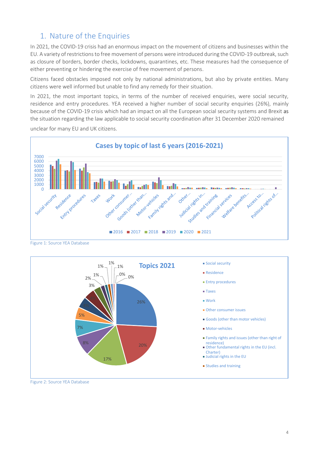# <span id="page-3-0"></span>1. Nature of the Enquiries

In 2021, the COVID-19 crisis had an enormous impact on the movement of citizens and businesses within the EU. A variety of restrictions to free movement of persons were introduced during the COVID-19 outbreak, such as closure of borders, border checks, lockdowns, quarantines, etc. These measures had the consequence of either preventing or hindering the exercise of free movement of persons.

Citizens faced obstacles imposed not only by national administrations, but also by private entities. Many citizens were well informed but unable to find any remedy for their situation.

In 2021, the most important topics, in terms of the number of received enquiries, were social security, residence and entry procedures. YEA received a higher number of social security enquiries (26%), mainly because of the COVID-19 crisis which had an impact on all the European social security systems and Brexit as the situation regarding the law applicable to social security coordination after 31 December 2020 remained unclear for many EU and UK citizens.



Figure 1: Source YEA Database



Figure 2: Source YEA Database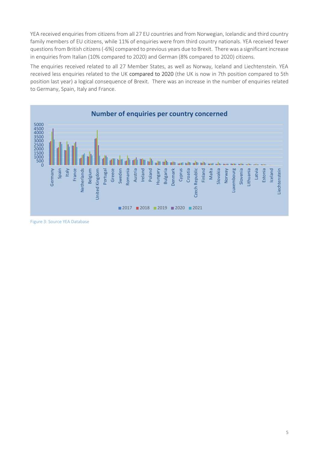YEA received enquiries from citizens from all 27 EU countries and from Norwegian, Icelandic and third country family members of EU citizens, while 11% of enquiries were from third country nationals. YEA received fewer questionsfrom British citizens (-6%) compared to previous years due to Brexit. There was a significant increase in enquiries from Italian (10% compared to 2020) and German (8% compared to 2020) citizens.

The enquiries received related to all 27 Member States, as well as Norway, Iceland and Liechtenstein. YEA received less enquiries related to the UK compared to 2020 (the UK is now in 7th position compared to 5th position last year) a logical consequence of Brexit. There was an increase in the number of enquiries related to Germany, Spain, Italy and France.



Figure 3: Source YEA Database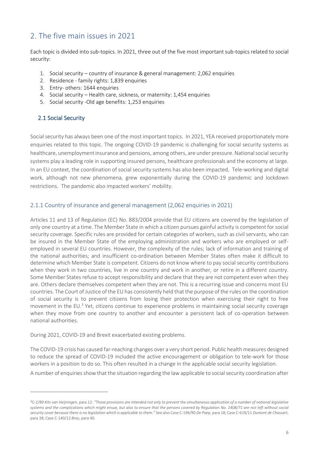# <span id="page-5-0"></span>2. The five main issues in 2021

Each topic is divided into sub-topics. In 2021, three out of the five most important sub-topics related to social security:

- 1. Social security country of insurance & general management: 2,062 enquiries
- 2. Residence family rights: 1,839 enquiries
- 3. Entry- others: 1644 enquiries
- 4. Social security Health care, sickness, or maternity: 1,454 enquiries
- 5. Social security -Old age benefits: 1,253 enquiries

## <span id="page-5-1"></span>2.1 Social Security

Social security has always been one of the most important topics. In 2021, YEA received proportionately more enquiries related to this topic. The ongoing COVID-19 pandemic is challenging for social security systems as healthcare, unemployment insurance and pensions, among others, are under pressure. National social security systems play a leading role in supporting insured persons, healthcare professionals and the economy at large. In an EU context, the coordination of social security systems has also been impacted. Tele-working and digital work, although not new phenomena, grew exponentially during the COVID-19 pandemic and lockdown restrictions. The pandemic also impacted workers' mobility.

### <span id="page-5-2"></span>2.1.1 Country of insurance and general management (2,062 enquiries in 2021)

Articles 11 and 13 of Regulation (EC) No. 883/2004 provide that EU citizens are covered by the legislation of only one country at a time. The Member State in which a citizen pursues gainful activity is competent for social security coverage. Specific rules are provided for certain categories of workers, such as civil servants, who can be insured in the Member State of the employing administration and workers who are employed or selfemployed in several EU countries. However, the complexity of the rules; lack of information and training of the national authorities; and insufficient co-ordination between Member States often make it difficult to determine which Member State is competent. Citizens do not know where to pay social security contributions when they work in two countries, live in one country and work in another, or retire in a different country. Some Member States refuse to accept responsibility and declare that they are not competent even when they are. Others declare themselves competent when they are not. This is a recurring issue and concerns most EU countries. The Court of Justice of the EU has consistently held that the purpose of the rules on the coordination of social security is to prevent citizens from losing their protection when exercising their right to free movement in the EU.<sup>3</sup> Yet, citizens continue to experience problems in maintaining social security coverage when they move from one country to another and encounter a persistent lack of co-operation between national authorities.

During 2021, COVID-19 and Brexit exacerbated existing problems.

The COVID-19 crisis has caused far-reaching changes over a very short period. Public health measures designed to reduce the spread of COVID-19 included the active encouragement or obligation to tele-work for those workers in a position to do so. This often resulted in a change in the applicable social security legislation.

A number of enquiries show that the situation regarding the law applicable to social security coordination after

<sup>3</sup>C‑2/89 *Kits van Heijningen*, para 12: *"Those provisions are intended not only to prevent the simultaneous application of a number of national legislative systems and the complications which might ensue, but also to ensure that the persons covered by Regulation No. 1408/71 are not left without social security cover because there is no legislation which is applicable to them."* See also Case C-196/90 *De Paep*, para 18; Case C-619/11 *Dumont de Chassart*, para 38; Case C-140/12 *Brey*, para 40.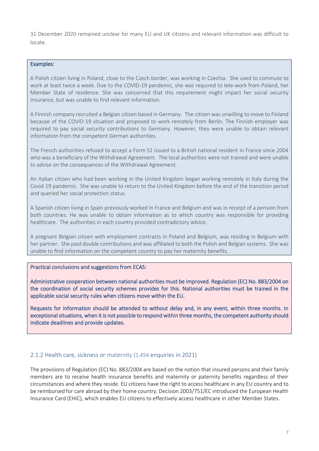31 December 2020 remained unclear for many EU and UK citizens and relevant information was difficult to locate.

#### Examples:

A Polish citizen living in Poland, close to the Czech border, was working in Czechia. She used to commute to work at least twice a week. Due to the COVID-19 pandemic, she was required to tele-work from Poland, her Member State of residence. She was concerned that this requirement might impact her social security insurance, but was unable to find relevant information.

A Finnish company recruited a Belgian citizen based in Germany. The citizen was unwilling to move to Finland because of the COVID-19 situation and proposed to work remotely from Berlin. The Finnish employer was required to pay social security contributions to Germany. However, they were unable to obtain relevant information from the competent German authorities.

The French authorities refused to accept a Form S1 issued to a British national resident in France since 2004 who was a beneficiary of the Withdrawal Agreement. The local authorities were not trained and were unable to advise on the consequences of the Withdrawal Agreement.

An Italian citizen who had been working in the United Kingdom began working remotely in Italy during the Covid-19 pandemic. She was unable to return to the United Kingdom before the end of the transition period and queried her social protection status.

A Spanish citizen living in Spain previously worked in France and Belgium and was in receipt of a pension from both countries. He was unable to obtain information as to which country was responsible for providing healthcare. The authorities in each country provided contradictory advice.

A pregnant Belgian citizen with employment contracts in Poland and Belgium, was residing in Belgium with her partner. She paid double contributions and was affiliated to both the Polish and Belgian systems. She was unable to find information on the competent country to pay her maternity benefits.

#### Practical conclusions and suggestions from ECAS:

Administrative cooperation between national authorities must be improved. Regulation (EC) No. 883/2004 on the coordination of social security schemes provides for this. National authorities must be trained in the applicable social security rules when citizens move within the EU.

Requests for information should be attended to without delay and, in any event, within three months. In exceptional situations, when it is not possible to respond within three months, the competent authority should indicate deadlines and provide updates.

#### <span id="page-6-0"></span>2.1.2 Health care, sickness or maternity (1,454 enquiries in 2021)

The provisions of Regulation (EC) No. 883/2004 are based on the notion that insured persons and their family members are to receive health insurance benefits and maternity or paternity benefits regardless of their circumstances and where they reside. EU citizens have the right to access healthcare in any EU country and to be reimbursed for care abroad by their home country. Decision 2003/751/EC introduced the European Health Insurance Card (EHIC), which enables EU citizens to effectively access healthcare in other Member States.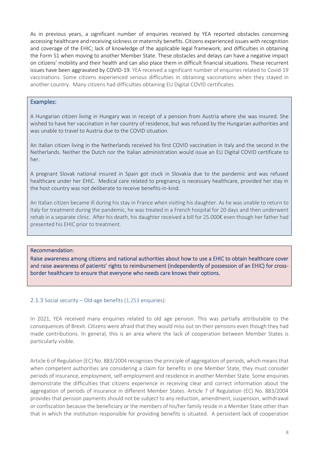As in previous years, a significant number of enquiries received by YEA reported obstacles concerning accessing healthcare and receiving sickness or maternity benefits. Citizens experienced issues with recognition and coverage of the EHIC; lack of knowledge of the applicable legal framework; and difficulties in obtaining the Form S1 when moving to another Member State. These obstacles and delays can have a negative impact on citizens' mobility and their health and can also place them in difficult financial situations. These recurrent issues have been aggravated by COVID-19. YEA received a significant number of enquiries related to Covid-19 vaccinations. Some citizens experienced serious difficulties in obtaining vaccinations when they stayed in another country. Many citizens had difficulties obtaining EU Digital COVID certificates.

#### Examples:

A Hungarian citizen living in Hungary was in receipt of a pension from Austria where she was insured. She wished to have her vaccination in her country of residence, but was refused by the Hungarian authorities and was unable to travel to Austria due to the COVID situation.

An Italian citizen living in the Netherlands received his first COVID vaccination in Italy and the second in the Netherlands. Neither the Dutch nor the Italian administration would issue an EU Digital COVID certificate to her.

A pregnant Slovak national insured in Spain got stuck in Slovakia due to the pandemic and was refused healthcare under her EHIC. Medical care related to pregnancy is necessary healthcare, provided her stay in the host country was not deliberate to receive benefits-in-kind.

An Italian citizen became ill during his stay in France when visiting his daughter. As he was unable to return to Italy for treatment during the pandemic, he was treated in a French hospital for 20 days and then underwent rehab in a separate clinic. After his death, his daughter received a bill for 25.000€ even though her father had presented his EHIC prior to treatment.

#### Recommendation:

Raise awareness among citizens and national authorities about how to use a EHIC to obtain healthcare cover and raise awareness of patients' rights to reimbursement (independently of possession of an EHIC) for crossborder healthcare to ensure that everyone who needs care knows their options.

#### <span id="page-7-0"></span>2.1.3 Social security – Old-age benefits (1,253 enquiries):

In 2021, YEA received many enquiries related to old age pension. This was partially attributable to the consequences of Brexit. Citizens were afraid that they would miss out on their pensions even though they had made contributions. In general, this is an area where the lack of cooperation between Member States is particularly visible.

Article 6 of Regulation (EC) No. 883/2004 recognises the principle of aggregation of periods, which means that when competent authorities are considering a claim for benefits in one Member State, they must consider periods of insurance, employment, self-employment and residence in another Member State. Some enquiries demonstrate the difficulties that citizens experience in receiving clear and correct information about the aggregation of periods of insurance in different Member States. Article 7 of Regulation (EC) No. 883/2004 provides that pension payments should not be subject to any reduction, amendment, suspension, withdrawal or confiscation because the beneficiary or the members of his/her family reside in a Member State other than that in which the institution responsible for providing benefits is situated. A persistent lack of cooperation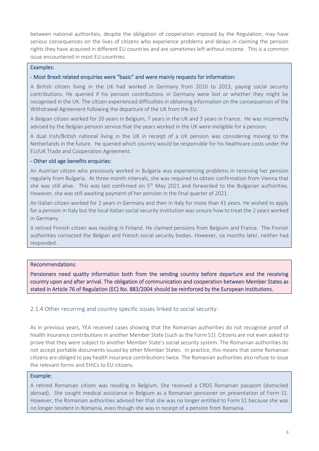between national authorities, despite the obligation of cooperation imposed by the Regulation, may have serious consequences on the lives of citizens who experience problems and delays in claiming the pension rights they have acquired in different EU countries and are sometimes left without income. This is a common issue encountered in most EU countries.

#### Examples:

#### - Most Brexit related enquiries were "basic" and were mainly requests for information:

A British citizen living in the UK had worked in Germany from 2010 to 2013, paying social security contributions. He queried if his pension contributions in Germany were lost or whether they might be recognised in the UK. The citizen experienced difficulties in obtaining information on the consequences of the Withdrawal Agreement following the departure of the UK from the EU.

A Belgian citizen worked for 20 years in Belgium, 7 years in the UK and 3 years in France. He was incorrectly advised by the Belgian pension service that the years worked in the UK were ineligible for a pension.

A dual Irish/British national living in the UK in receipt of a UK pension was considering moving to the Netherlands in the future. He queried which country would be responsible for his healthcare costs under the EU/UK Trade and Cooperation Agreement.

#### - Other old age benefits enquiries:

An Austrian citizen who previously worked in Bulgaria was experiencing problems in receiving her pension regularly from Bulgaria. At three-month intervals, she was required to obtain confirmation from Vienna that she was still alive. This was last confirmed on  $5<sup>th</sup>$  May 2021 and forwarded to the Bulgarian authorities. However, she was still awaiting payment of her pension in the final quarter of 2021.

An Italian citizen worked for 2 years in Germany and then in Italy for more than 41 years. He wished to apply for a pension in Italy but the local Italian social security institution was unsure how to treat the 2 years worked in Germany.

A retired Finnish citizen was residing in Finland. He claimed pensions from Belgium and France. The Finnish authorities contacted the Belgian and French social security bodies. However, six months later, neither had responded.

#### Recommendations:

Pensioners need quality information both from the sending country before departure and the receiving country upon and after arrival. The obligation of communication and cooperation between Member States as stated in Article 76 of Regulation (EC) No. 883/2004 should be reinforced by the European Institutions.

#### <span id="page-8-0"></span>2.1.4 Other recurring and country specific issues linked to social security:

As in previous years, YEA received cases showing that the Romanian authorities do not recognise proof of health insurance contributions in another Member State (such as the Form S1). Citizens are not even asked to prove that they were subject to another Member State's social security system. The Romanian authorities do not accept portable documents issued by other Member States. In practice, this means that some Romanian citizens are obliged to pay health insurance contributions twice. The Romanian authorities also refuse to issue the relevant forms and EHICs to EU citizens.

#### Example:

A retired Romanian citizen was residing in Belgium. She received a CRDS Romanian passport (domiciled abroad). She sought medical assistance in Belgium as a Romanian pensioner on presentation of Form S1. However, the Romanian authorities advised her that she was no longer entitled to Form S1 because she was no longer resident in Romania, even though she was in receipt of a pension from Romania.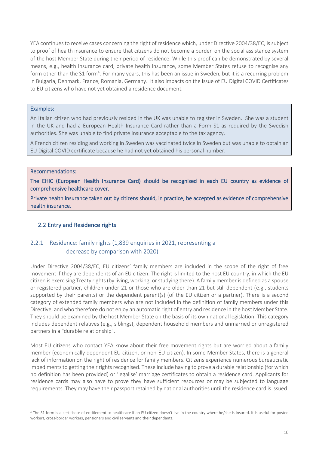YEA continues to receive cases concerning the right of residence which, under Directive 2004/38/EC, is subject to proof of health insurance to ensure that citizens do not become a burden on the social assistance system of the host Member State during their period of residence. While this proof can be demonstrated by several means, e.g., health insurance card, private health insurance, some Member States refuse to recognise any form other than the S1 form<sup>4</sup>. For many years, this has been an issue in Sweden, but it is a recurring problem in Bulgaria, Denmark, France, Romania, Germany. It also impacts on the issue of EU Digital COVID Certificates to EU citizens who have not yet obtained a residence document.

#### Examples:

An Italian citizen who had previously resided in the UK was unable to register in Sweden. She was a student in the UK and had a European Health Insurance Card rather than a Form S1 as required by the Swedish authorities. She was unable to find private insurance acceptable to the tax agency.

A French citizen residing and working in Sweden was vaccinated twice in Sweden but was unable to obtain an EU Digital COVID certificate because he had not yet obtained his personal number.

#### Recommendations:

The EHIC (European Health Insurance Card) should be recognised in each EU country as evidence of comprehensive healthcare cover.

Private health insurance taken out by citizens should, in practice, be accepted as evidence of comprehensive health insurance.

#### <span id="page-9-0"></span>2.2 Entry and Residence rights

## <span id="page-9-2"></span><span id="page-9-1"></span>2.2.1 Residence: family rights (1,839 enquiries in 2021, representing a decrease by comparison with 2020)

Under Directive 2004/38/EC, EU citizens' family members are included in the scope of the right of free movement if they are dependents of an EU citizen. The right is limited to the host EU country, in which the EU citizen is exercising Treaty rights (by living, working, or studying there). A family member is defined as a spouse or registered partner, children under 21 or those who are older than 21 but still dependent (e.g., students supported by their parents) or the dependent parent(s) (of the EU citizen or a partner). There is a second category of extended family members who are not included in the definition of family members under this Directive, and who therefore do not enjoy an automatic right of entry and residence in the host Member State. They should be examined by the host Member State on the basis of its own national legislation. This category includes dependent relatives (e.g., siblings), dependent household members and unmarried or unregistered partners in a "durable relationship".

Most EU citizens who contact YEA know about their free movement rights but are worried about a family member (economically dependent EU citizen, or non-EU citizen). In some Member States, there is a general lack of information on the right of residence for family members. Citizens experience numerous bureaucratic impediments to getting their rights recognised. These include having to prove a durable relationship (for which no definition has been provided) or 'legalise' marriage certificates to obtain a residence card. Applicants for residence cards may also have to prove they have sufficient resources or may be subjected to language requirements. They may have their passport retained by national authorities until the residence card is issued.

<sup>4</sup> The S1 form is a certificate of entitlement to healthcare if an EU citizen doesn't live in the country where he/she is insured. It is useful for posted workers, cross-border workers, pensioners and civil servants and their dependants.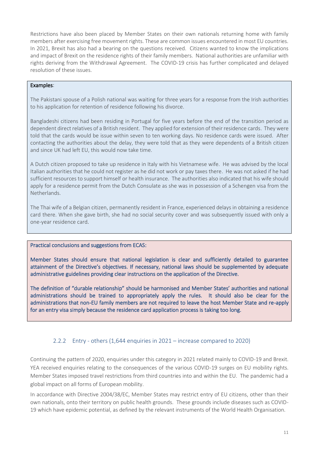Restrictions have also been placed by Member States on their own nationals returning home with family members after exercising free movement rights. These are common issues encountered in most EU countries. In 2021, Brexit has also had a bearing on the questions received. Citizens wanted to know the implications and impact of Brexit on the residence rights of their family members. National authorities are unfamiliar with rights deriving from the Withdrawal Agreement. The COVID-19 crisis has further complicated and delayed resolution of these issues.

#### Examples:

The Pakistani spouse of a Polish national was waiting for three years for a response from the Irish authorities to his application for retention of residence following his divorce.

Bangladeshi citizens had been residing in Portugal for five years before the end of the transition period as dependent direct relatives of a British resident. They applied for extension of their residence cards. They were told that the cards would be issue within seven to ten working days. No residence cards were issued. After contacting the authorities about the delay, they were told that as they were dependents of a British citizen and since UK had left EU, this would now take time.

A Dutch citizen proposed to take up residence in Italy with his Vietnamese wife. He was advised by the local Italian authorities that he could not register as he did not work or pay taxes there. He was not asked if he had sufficient resources to support himself or health insurance. The authorities also indicated that his wife should apply for a residence permit from the Dutch Consulate as she was in possession of a Schengen visa from the Netherlands.

The Thai wife of a Belgian citizen, permanently resident in France, experienced delays in obtaining a residence card there. When she gave birth, she had no social security cover and was subsequently issued with only a one-year residence card.

#### Practical conclusions and suggestions from ECAS:

Member States should ensure that national legislation is clear and sufficiently detailed to guarantee attainment of the Directive's objectives. If necessary, national laws should be supplemented by adequate administrative guidelines providing clear instructions on the application of the Directive.

The definition of "durable relationship" should be harmonised and Member States' authorities and national administrations should be trained to appropriately apply the rules. It should also be clear for the administrations that non-EU family members are not required to leave the host Member State and re-apply for an entry visa simply because the residence card application process is taking too long.

## 2.2.2 Entry - others (1,644 enquiries in 2021 – increase compared to 2020)

<span id="page-10-0"></span>Continuing the pattern of 2020, enquiries under this category in 2021 related mainly to COVID-19 and Brexit. YEA received enquiries relating to the consequences of the various COVID-19 surges on EU mobility rights. Member States imposed travel restrictions from third countries into and within the EU. The pandemic had a global impact on all forms of European mobility.

In accordance with Directive 2004/38/EC, Member States may restrict entry of EU citizens, other than their own nationals, onto their territory on public health grounds. These grounds include diseases such as COVID-19 which have epidemic potential, as defined by the relevant instruments of the World Health Organisation.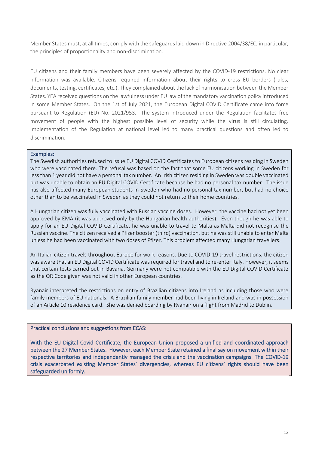Member States must, at all times, comply with the safeguards laid down in Directive 2004/38/EC, in particular, the principles of proportionality and non-discrimination.

EU citizens and their family members have been severely affected by the COVID-19 restrictions. No clear information was available. Citizens required information about their rights to cross EU borders (rules, documents, testing, certificates, etc.). They complained about the lack of harmonisation between the Member States. YEA received questions on the lawfulness under EU law of the mandatory vaccination policy introduced in some Member States. On the 1st of July 2021, the European Digital COVID Certificate came into force pursuant to Regulation (EU) No. 2021/953. The system introduced under the Regulation facilitates free movement of people with the highest possible level of security while the virus is still circulating. Implementation of the Regulation at national level led to many practical questions and often led to discrimination.

#### Examples:

The Swedish authorities refused to issue EU Digital COVID Certificates to European citizens residing in Sweden who were vaccinated there. The refusal was based on the fact that some EU citizens working in Sweden for less than 1 year did not have a personal tax number. An Irish citizen residing in Sweden was double vaccinated but was unable to obtain an EU Digital COVID Certificate because he had no personal tax number. The issue has also affected many European students in Sweden who had no personal tax number, but had no choice other than to be vaccinated in Sweden as they could not return to their home countries.

A Hungarian citizen was fully vaccinated with Russian vaccine doses. However, the vaccine had not yet been approved by EMA (it was approved only by the Hungarian health authorities). Even though he was able to apply for an EU Digital COVID Certificate, he was unable to travel to Malta as Malta did not recognise the Russian vaccine. The citizen received a Pfizer booster (third) vaccination, but he was still unable to enter Malta unless he had been vaccinated with two doses of Pfizer. This problem affected many Hungarian travellers.

An Italian citizen travels throughout Europe for work reasons. Due to COVID-19 travel restrictions, the citizen was aware that an EU Digital COVID Certificate was required for travel and to re-enter Italy. However, it seems that certain tests carried out in Bavaria, Germany were not compatible with the EU Digital COVID Certificate as the QR Code given was not valid in other European countries.

Ryanair interpreted the restrictions on entry of Brazilian citizens into Ireland as including those who were family members of EU nationals. A Brazilian family member had been living in Ireland and was in possession of an Article 10 residence card. She was denied boarding by Ryanair on a flight from Madrid to Dublin.

#### Practical conclusions and suggestions from ECAS:

With the EU Digital Covid Certificate, the European Union proposed a unified and coordinated approach between the 27 Member States. However, each Member State retained a final say on movement within their respective territories and independently managed the crisis and the vaccination campaigns. The COVID-19 crisis exacerbated existing Member States' divergencies, whereas EU citizens' rights should have been safeguarded uniformly.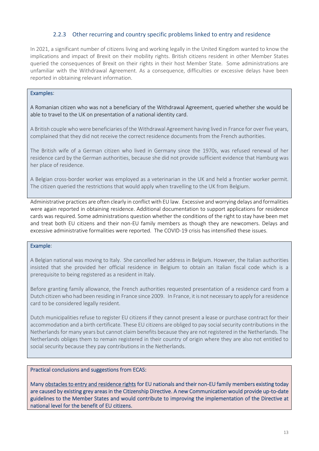#### 2.2.3 Other recurring and country specific problems linked to entry and residence

<span id="page-12-0"></span>In 2021, a significant number of citizens living and working legally in the United Kingdom wanted to know the implications and impact of Brexit on their mobility rights. British citizens resident in other Member States queried the consequences of Brexit on their rights in their host Member State. Some administrations are unfamiliar with the Withdrawal Agreement. As a consequence, difficulties or excessive delays have been reported in obtaining relevant information.

#### Examples:

A Romanian citizen who was not a beneficiary of the Withdrawal Agreement, queried whether she would be able to travel to the UK on presentation of a national identity card.

A British couple who were beneficiaries of the Withdrawal Agreement having lived in France for over five years, complained that they did not receive the correct residence documents from the French authorities.

The British wife of a German citizen who lived in Germany since the 1970s, was refused renewal of her residence card by the German authorities, because she did not provide sufficient evidence that Hamburg was her place of residence.

A Belgian cross-border worker was employed as a veterinarian in the UK and held a frontier worker permit. The citizen queried the restrictions that would apply when travelling to the UK from Belgium.

Administrative practices are often clearly in conflict with EU law. Excessive and worrying delays and formalities were again reported in obtaining residence. Additional documentation to support applications for residence cards was required. Some administrations question whether the conditions of the right to stay have been met and treat both EU citizens and their non-EU family members as though they are newcomers. Delays and excessive administrative formalities were reported. The COVID-19 crisis has intensified these issues.

#### Example:

A Belgian national was moving to Italy. She cancelled her address in Belgium. However, the Italian authorities insisted that she provided her official residence in Belgium to obtain an Italian fiscal code which is a prerequisite to being registered as a resident in Italy.

Before granting family allowance, the French authorities requested presentation of a residence card from a Dutch citizen who had been residing in France since 2009. In France, it is not necessary to apply for a residence card to be considered legally resident.

Dutch municipalities refuse to register EU citizens if they cannot present a lease or purchase contract for their accommodation and a birth certificate. These EU citizens are obliged to pay social security contributions in the Netherlands for many years but cannot claim benefits because they are not registered in the Netherlands. The Netherlands obliges them to remain registered in their country of origin where they are also not entitled to social security because they pay contributions in the Netherlands.

#### Practical conclusions and suggestions from ECAS:

Many obstacles to entry and residence rights for EU nationals and their non-EU family members existing today are caused by existing grey areas in the Citizenship Directive. A new Communication would provide up-to-date guidelines to the Member States and would contribute to improving the implementation of the Directive at national level for the benefit of EU citizens.